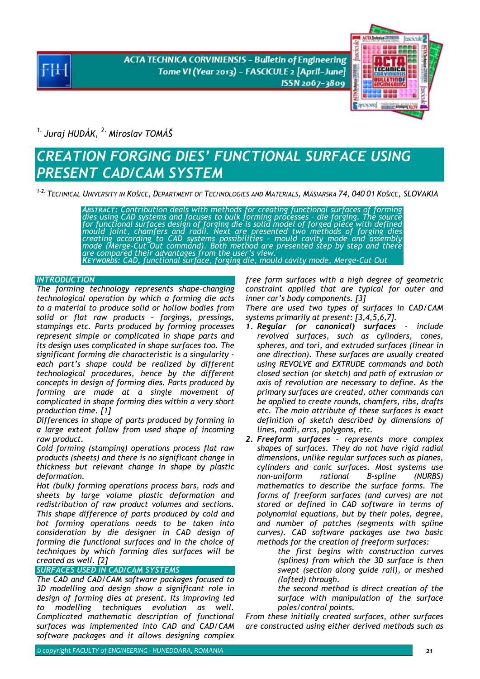**ACTA TECHNICA CORVINIENSIS - Bulletin of Engineering** Tome VI (Year 2013) - FASCICULE 2 [April-June] ISSN 2067-3809



*1. Juraj HUDÁK, 2. Miroslav TOMÁŠ* 

# *CREATION FORGING DIES' FUNCTIONAL SURFACE USING PRESENT CAD/CAM SYSTEM*

*1-2. TECHNICAL UNIVERSITY IN KOŠICE, DEPARTMENT OF TECHNOLOGIES AND MATERIALS, MÄSIARSKA 74, 040 01 KOŠICE, SLOVAKIA*

ABSTRACT: Contribution deals with methods for creating functional surfaces of forming<br>dies using CAD systems and focuses to bulk forming processes - die forging. The source<br>for functional surfaces design of forging die is *creating according to CAD systems possibilities – mould cavity mode and assembly mode (Merge-Cut Out command). Both method are presented step by step and there are compared their advantages from the user's view. KEYWORDS: CAD, functional surface, forging die, mould cavity mode, Merge-Cut Out*

## *INTRODUCTION*

*The forming technology represents shape-changing technological operation by which a forming die acts to a material to produce solid or hollow bodies from solid or flat raw products – forgings, pressings, stampings etc. Parts produced by forming processes represent simple or complicated in shape parts and its design uses complicated in shape surfaces too. The significant forming die characteristic is a singularity each part's shape could be realized by different technological procedures, hence by the different concepts in design of forming dies. Parts produced by forming are made at a single movement of complicated in shape forming dies within a very short production time. [1]* 

*Differences in shape of parts produced by forming in a large extent follow from used shape of incoming raw product.* 

*Cold forming (stamping) operations process flat raw products (sheets) and there is no significant change in thickness but relevant change in shape by plastic deformation.* 

*Hot (bulk) forming operations process bars, rods and sheets by large volume plastic deformation and redistribution of raw product volumes and sections. This shape difference of parts produced by cold and hot forming operations needs to be taken into consideration by die designer in CAD design of forming die functional surfaces and in the choice of techniques by which forming dies surfaces will be created as well. [2]*

## *SURFACES USED IN CAD/CAM SYSTEMS*

*The CAD and CAD/CAM software packages focused to 3D modelling and design show a significant role in design of forming dies at present. Its improving led to modelling techniques evolution as well. Complicated mathematic description of functional surfaces was implemented into CAD and CAD/CAM software packages and it allows designing complex* 

*free form surfaces with a high degree of geometric constraint applied that are typical for outer and inner car's body components. [3]* 

*There are used two types of surfaces in CAD/CAM systems primarily at present: [3,4,5,6,7].* 

- *1. Regular (or canonical) surfaces include revolved surfaces, such as cylinders, cones, spheres, and tori, and extruded surfaces (linear in one direction). These surfaces are usually created using REVOLVE and EXTRUDE commands and both closed section (or sketch) and path of extrusion or axis of revolution are necessary to define. As the primary surfaces are created, other commands can be applied to create rounds, chamfers, ribs, drafts etc. The main attribute of these surfaces is exact definition of sketch described by dimensions of lines, radii, arcs, polygons, etc.*
- *2. Freeform surfaces represents more complex shapes of surfaces. They do not have rigid radial dimensions, unlike regular surfaces such as planes, cylinders and conic surfaces. Most systems use non-uniform rational B-spline (NURBS) mathematics to describe the surface forms. The forms of freeform surfaces (and curves) are not stored or defined in CAD software in terms of polynomial equations, but by their poles, degree, and number of patches (segments with spline curves). CAD software packages use two basic methods for the creation of freeform surfaces:*

 *the first begins with construction curves (splines) from which the 3D surface is then swept (section along guide rail), or meshed (lofted) through.* 

 *the second method is direct creation of the surface with manipulation of the surface poles/control points.* 

*From these initially created surfaces, other surfaces are constructed using either derived methods such as*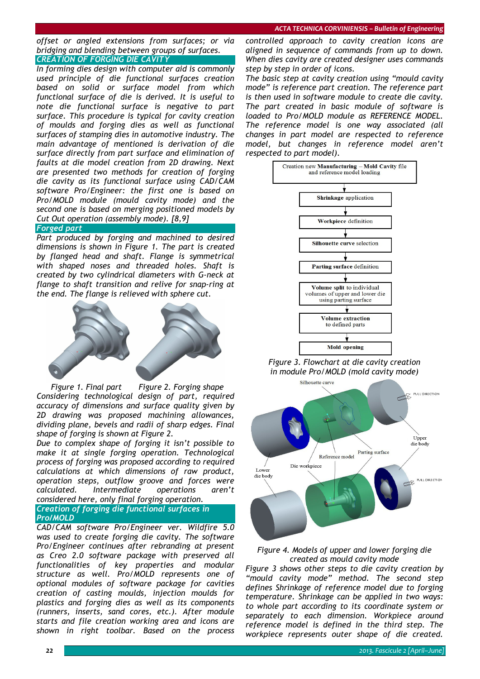#### *offset or angled extensions from surfaces; or via bridging and blending between groups of surfaces. CREATION OF FORGING DIE CAVITY*

*In forming dies design with computer aid is commonly used principle of die functional surfaces creation based on solid or surface model from which functional surface of die is derived. It is useful to note die functional surface is negative to part surface. This procedure is typical for cavity creation of moulds and forging dies as well as functional surfaces of stamping dies in automotive industry. The main advantage of mentioned is derivation of die surface directly from part surface and elimination of faults at die model creation from 2D drawing. Next are presented two methods for creation of forging die cavity as its functional surface using CAD/CAM software Pro/Engineer: the first one is based on Pro/MOLD module (mould cavity mode) and the second one is based on merging positioned models by Cut Out operation (assembly mode). [8,9]*

#### *Forged part*

*Part produced by forging and machined to desired dimensions is shown in Figure 1. The part is created by flanged head and shaft. Flange is symmetrical with shaped noses and threaded holes. Shaft is created by two cylindrical diameters with G-neck at flange to shaft transition and relive for snap-ring at the end. The flange is relieved with sphere cut.* 



 *Figure 1. Final part Figure 2. Forging shape Considering technological design of part, required accuracy of dimensions and surface quality given by 2D drawing was proposed machining allowances, dividing plane, bevels and radii of sharp edges. Final shape of forging is shown at Figure 2.* 

*Due to complex shape of forging it isn't possible to make it at single forging operation. Technological process of forging was proposed according to required calculations at which dimensions of raw product, operation steps, outflow groove and forces were calculated. Intermediate operations aren't considered here, only final forging operation.*

## *Creation of forging die functional surfaces in Pro/MOLD*

*CAD/CAM software Pro/Engineer ver. Wildfire 5.0 was used to create forging die cavity. The software Pro/Engineer continues after rebranding at present as Creo 2.0 software package with preserved all functionalities of key properties and modular structure as well. Pro/MOLD represents one of optional modules of software package for cavities creation of casting moulds, injection moulds for plastics and forging dies as well as its components (runners, inserts, sand cores, etc.). After module starts and file creation working area and icons are shown in right toolbar. Based on the process* 

*controlled approach to cavity creation icons are aligned in sequence of commands from up to down. When dies cavity are created designer uses commands step by step in order of icons.* 

*The basic step at cavity creation using "mould cavity mode" is reference part creation. The reference part is then used in software module to create die cavity. The part created in basic module of software is loaded to Pro/MOLD module as REFERENCE MODEL. The reference model is one way associated (all changes in part model are respected to reference model, but changes in reference model aren't respected to part model).* 



*Figure 3. Flowchart at die cavity creation in module Pro/MOLD (mold cavity mode)* 



### *Figure 4. Models of upper and lower forging die created as mould cavity mode*

*Figure 3 shows other steps to die cavity creation by "mould cavity mode" method. The second step defines Shrinkage of reference model due to forging temperature. Shrinkage can be applied in two ways: to whole part according to its coordinate system or separately to each dimension. Workpiece around reference model is defined in the third step. The workpiece represents outer shape of die created.*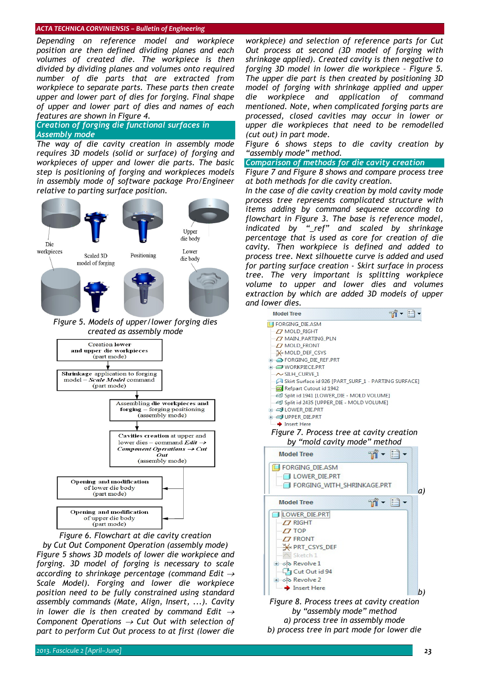#### *ACTA TECHNICA CORVINIENSIS – Bulletin of Engineering*

*Depending on reference model and workpiece position are then defined dividing planes and each volumes of created die. The workpiece is then divided by dividing planes and volumes onto required number of die parts that are extracted from workpiece to separate parts. These parts then create upper and lower part of dies for forging. Final shape of upper and lower part of dies and names of each features are shown in Figure 4.* 

*Creation of forging die functional surfaces in Assembly mode*

*The way of die cavity creation in assembly mode requires 3D models (solid or surface) of forging and workpieces of upper and lower die parts. The basic step is positioning of forging and workpieces models in assembly mode of software package Pro/Engineer relative to parting surface position.* 



*Figure 6. Flowchart at die cavity creation by Cut Out Component Operation (assembly mode) Figure 5 shows 3D models of lower die workpiece and forging. 3D model of forging is necessary to scale according to shrinkage percentage (command Edit* <sup>→</sup> *Scale Model). Forging and lower die workpiece position need to be fully constrained using standard assembly commands (Mate, Align, Insert, ...). Cavity in lower die is then created by command Edit* <sup>→</sup> *Component Operations* → *Cut Out with selection of part to perform Cut Out process to at first (lower die* 

*workpiece) and selection of reference parts for Cut Out process at second (3D model of forging with shrinkage applied). Created cavity is then negative to forging 3D model in lower die workpiece – Figure 5. The upper die part is then created by positioning 3D model of forging with shrinkage applied and upper die workpiece and application of command mentioned. Note, when complicated forging parts are processed, closed cavities may occur in lower or upper die workpieces that need to be remodelled (cut out) in part mode.* 

*Figure 6 shows steps to die cavity creation by "assembly mode" method.* 

#### *Comparison of methods for die cavity creation*

*Figure 7 and Figure 8 shows and compare process tree at both methods for die cavity creation.* 

*In the case of die cavity creation by mold cavity mode process tree represents complicated structure with items adding by command sequence according to flowchart in Figure 3. The base is reference model, indicated by "\_ref" and scaled by shrinkage percentage that is used as core for creation of die cavity. Then workpiece is defined and added to process tree. Next silhouette curve is added and used for parting surface creation - Skirt surface in process tree. The very important is splitting workpiece volume to upper and lower dies and volumes extraction by which are added 3D models of upper and lower dies.* 

| <b>Model Tree</b>                                    | $m - n$ |    |
|------------------------------------------------------|---------|----|
| <b>FORGING_DIE.ASM</b>                               |         |    |
| $\Box$ MOLD RIGHT                                    |         |    |
| <b>Z MAIN PARTING PLN</b>                            |         |    |
| $\Box$ MOLD FRONT                                    |         |    |
| <b>WWW MOLD DEF_CSYS</b>                             |         |    |
| <b>E-CORGING DIE REF.PRT</b>                         |         |    |
| <b>E-COWORKPIECE.PRT</b>                             |         |    |
| $\sim$ SILH CURVE 1                                  |         |    |
| Skirt Surface id 926 [PART_SURF_1 - PARTING SURFACE] |         |    |
| Refpart Cutout id 1942                               |         |    |
| Split id 1941 [LOWER_DIE - MOLD VOLUME]              |         |    |
| Split id 2435 [UPPER_DIE - MOLD VOLUME]              |         |    |
| <b>E</b> CJ LOWER DIE.PRT                            |         |    |
| <b>E-COUPPER DIE.PRT</b>                             |         |    |
| <b>→</b> Insert Here                                 |         |    |
| Figure 7. Process tree at cavity creation            |         |    |
| by "mold cavity mode" method                         |         |    |
|                                                      |         |    |
| <b>Model Tree</b>                                    | ゅ- 이    |    |
| <b>FORGING DIE.ASM</b>                               |         |    |
| LOWER DIE.PRT                                        |         |    |
| FORGING WITH SHRINKAGE.PRT                           |         |    |
|                                                      |         | a) |
| <b>Model Tree</b>                                    | $m - n$ |    |
| J LOWER DIE.PRT                                      |         |    |
|                                                      |         |    |
| $\Box$ RIGHT                                         |         |    |
| $-77$ TOP                                            |         |    |
| $-77$ FRONT                                          |         |    |
| <b>XX PRT CSYS DEF</b>                               |         |    |
| - / Sketch 1                                         |         |    |
| ⊕ olo Revolve 1                                      |         |    |
| Cut Out id 94                                        |         |    |
| + ojo Revolve 2                                      |         |    |
|                                                      |         |    |
| Insert Here                                          |         | b) |
|                                                      |         |    |
| Figure 8. Process trees at cavity creation           |         |    |
| by "assembly mode" method                            |         |    |
| a) process tree in assembly mode                     |         |    |

*b) process tree in part mode for lower die*